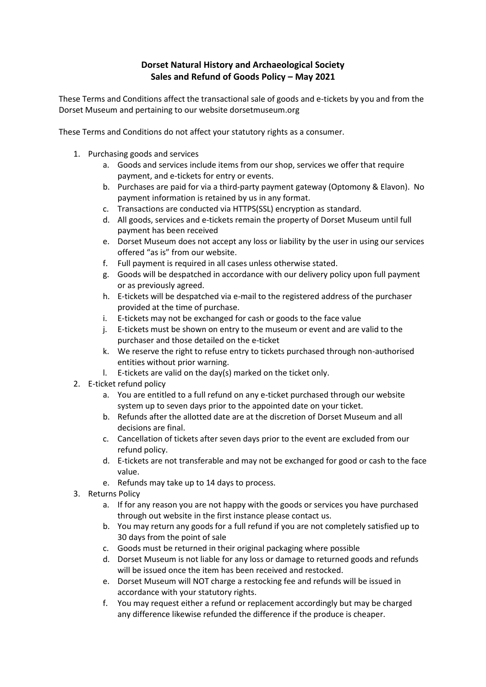## **Dorset Natural History and Archaeological Society Sales and Refund of Goods Policy – May 2021**

These Terms and Conditions affect the transactional sale of goods and e-tickets by you and from the Dorset Museum and pertaining to our website dorsetmuseum.org

These Terms and Conditions do not affect your statutory rights as a consumer.

- 1. Purchasing goods and services
	- a. Goods and services include items from our shop, services we offer that require payment, and e-tickets for entry or events.
	- b. Purchases are paid for via a third-party payment gateway (Optomony & Elavon). No payment information is retained by us in any format.
	- c. Transactions are conducted via HTTPS(SSL) encryption as standard.
	- d. All goods, services and e-tickets remain the property of Dorset Museum until full payment has been received
	- e. Dorset Museum does not accept any loss or liability by the user in using our services offered "as is" from our website.
	- f. Full payment is required in all cases unless otherwise stated.
	- g. Goods will be despatched in accordance with our delivery policy upon full payment or as previously agreed.
	- h. E-tickets will be despatched via e-mail to the registered address of the purchaser provided at the time of purchase.
	- i. E-tickets may not be exchanged for cash or goods to the face value
	- j. E-tickets must be shown on entry to the museum or event and are valid to the purchaser and those detailed on the e-ticket
	- k. We reserve the right to refuse entry to tickets purchased through non-authorised entities without prior warning.
	- l. E-tickets are valid on the day(s) marked on the ticket only.
- 2. E-ticket refund policy
	- a. You are entitled to a full refund on any e-ticket purchased through our website system up to seven days prior to the appointed date on your ticket.
	- b. Refunds after the allotted date are at the discretion of Dorset Museum and all decisions are final.
	- c. Cancellation of tickets after seven days prior to the event are excluded from our refund policy.
	- d. E-tickets are not transferable and may not be exchanged for good or cash to the face value.
	- e. Refunds may take up to 14 days to process.
- 3. Returns Policy
	- a. If for any reason you are not happy with the goods or services you have purchased through out website in the first instance please contact us.
	- b. You may return any goods for a full refund if you are not completely satisfied up to 30 days from the point of sale
	- c. Goods must be returned in their original packaging where possible
	- d. Dorset Museum is not liable for any loss or damage to returned goods and refunds will be issued once the item has been received and restocked.
	- e. Dorset Museum will NOT charge a restocking fee and refunds will be issued in accordance with your statutory rights.
	- f. You may request either a refund or replacement accordingly but may be charged any difference likewise refunded the difference if the produce is cheaper.